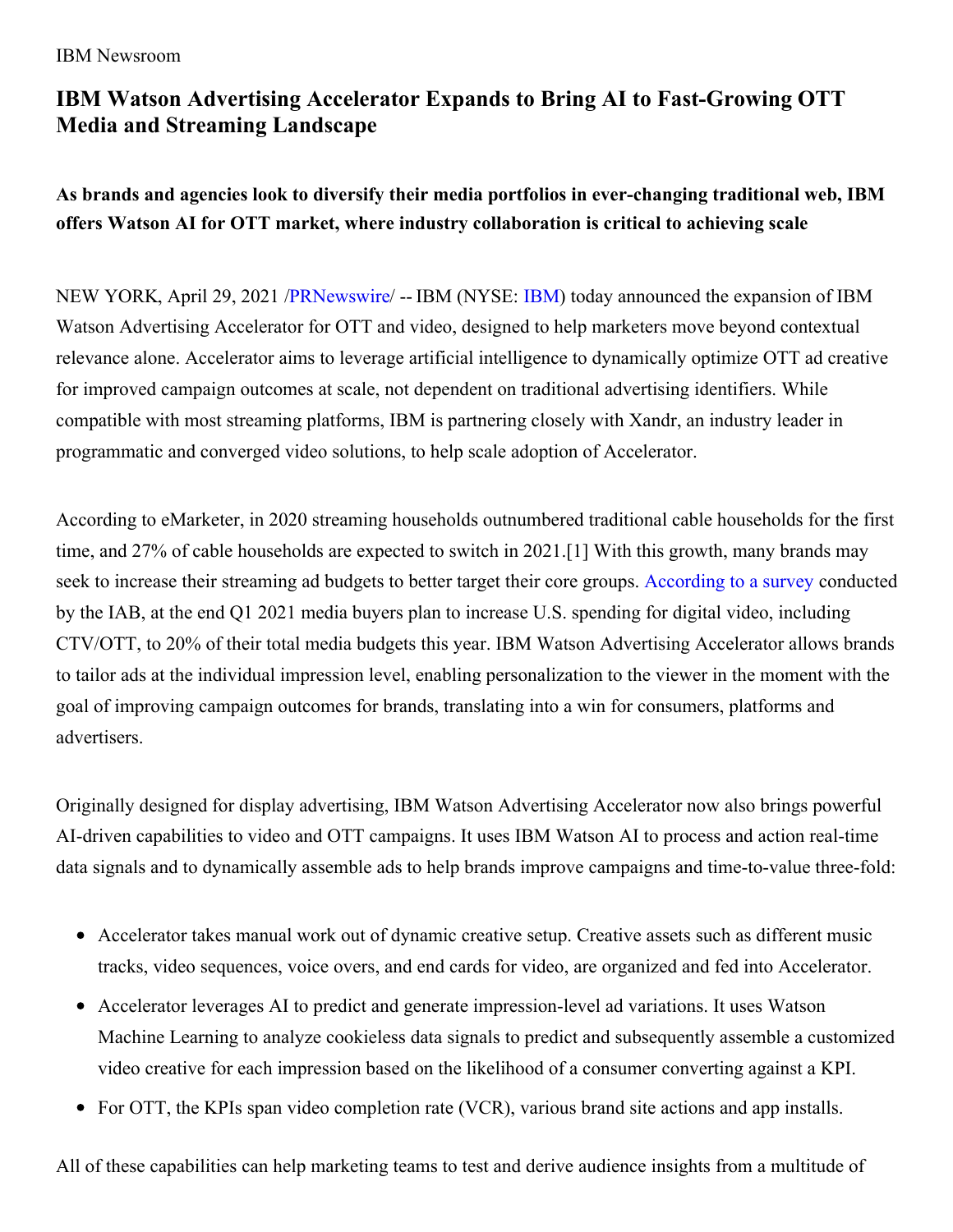#### IBM Newsroom

# **IBM Watson Advertising Accelerator Expands to Bring AI to Fast-Growing OTT Media and Streaming Landscape**

**As brands and agencies look to diversify their media portfolios in ever-changing traditional web, IBM offers Watson AI for OTT market, where industry collaboration is critical to achieving scale**

NEW YORK, April 29, 2021 [/PRNewswire](http://www.prnewswire.com/)/ -- IBM (NYSE: [IBM\)](https://c212.net/c/link/?t=0&l=en&o=3145708-1&h=2700575909&u=http%3A%2F%2Fwww.ibm.com%2Finvestor&a=IBM) today announced the expansion of IBM Watson Advertising Accelerator for OTT and video, designed to help marketers move beyond contextual relevance alone. Accelerator aims to leverage artificial intelligence to dynamically optimize OTT ad creative for improved campaign outcomes at scale, not dependent on traditional advertising identifiers. While compatible with most streaming platforms, IBM is partnering closely with Xandr, an industry leader in programmatic and converged video solutions, to help scale adoption of Accelerator.

According to eMarketer, in 2020 streaming households outnumbered traditional cable households for the first time, and 27% of cable households are expected to switch in 2021.[1] With this growth, many brands may seek to increase their streaming ad budgets to better target their core groups. [According](https://c212.net/c/link/?t=0&l=en&o=3145708-1&h=1202073658&u=https%3A%2F%2Fwww.mediapost.com%2Fpublications%2Farticle%2F362667%2Fmedia-buyers-are-upping-digital-videos-2021-budge.html&a=According+to+a+survey) to a survey conducted by the IAB, at the end Q1 2021 media buyers plan to increase U.S. spending for digital video, including CTV/OTT, to 20% of their total media budgets this year. IBM Watson Advertising Accelerator allows brands to tailor ads at the individual impression level, enabling personalization to the viewer in the moment with the goal of improving campaign outcomes for brands, translating into a win for consumers, platforms and advertisers.

Originally designed for display advertising, IBM Watson Advertising Accelerator now also brings powerful AI-driven capabilities to video and OTT campaigns. It uses IBM Watson AI to process and action real-time data signals and to dynamically assemble ads to help brands improve campaigns and time-to-value three-fold:

- Accelerator takes manual work out of dynamic creative setup. Creative assets such as different music tracks, video sequences, voice overs, and end cards for video, are organized and fed into Accelerator.
- Accelerator leverages AI to predict and generate impression-level ad variations. It uses Watson Machine Learning to analyze cookieless data signals to predict and subsequently assemble a customized video creative for each impression based on the likelihood of a consumer converting against a KPI.
- For OTT, the KPIs span video completion rate (VCR), various brand site actions and app installs.

All of these capabilities can help marketing teams to test and derive audience insights from a multitude of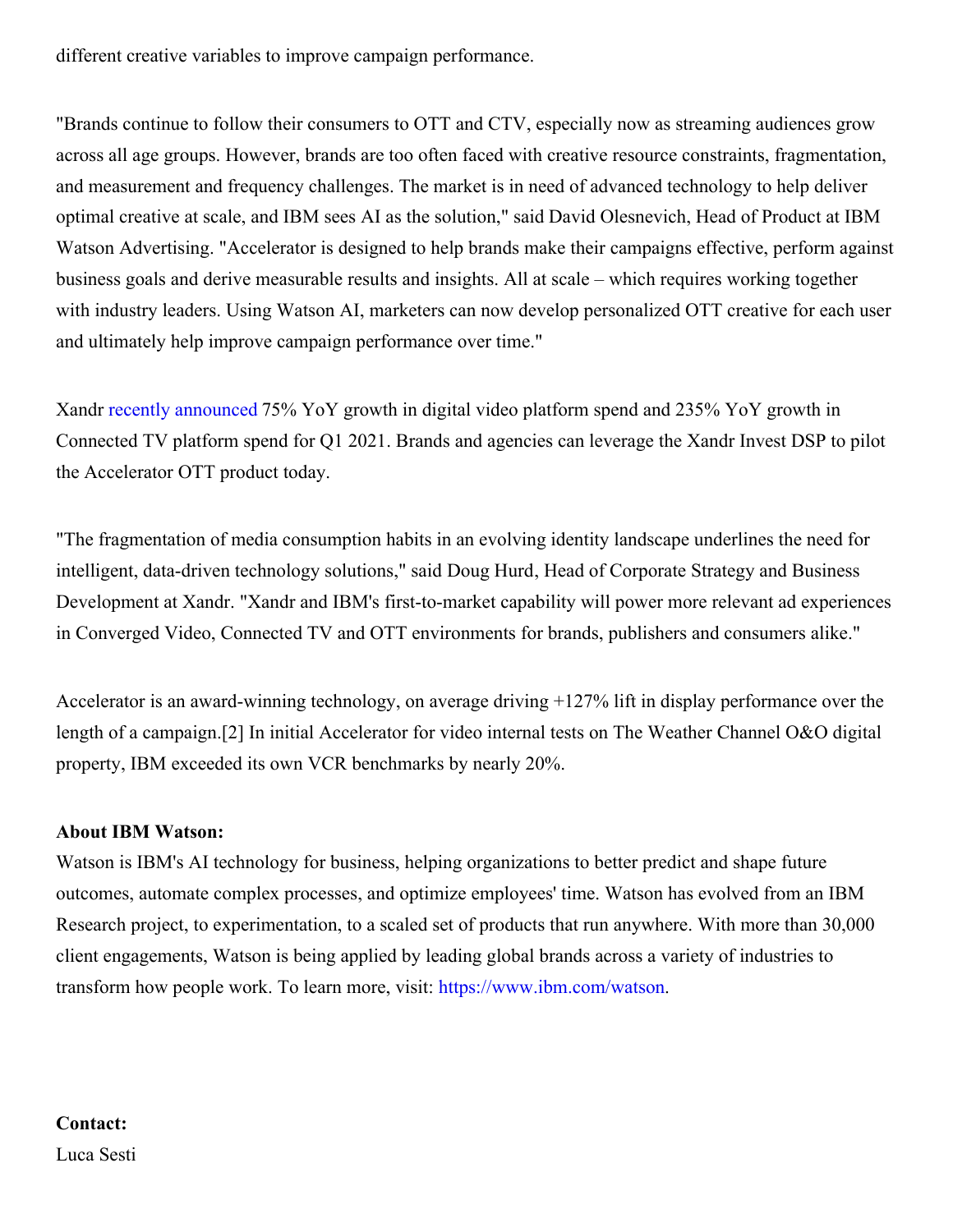different creative variables to improve campaign performance.

"Brands continue to follow their consumers to OTT and CTV, especially now as streaming audiences grow across all age groups. However, brands are too often faced with creative resource constraints, fragmentation, and measurement and frequency challenges. The market is in need of advanced technology to help deliver optimal creative at scale, and IBM sees AI as the solution," said David Olesnevich, Head of Product at IBM Watson Advertising. "Accelerator is designed to help brands make their campaigns effective, perform against business goals and derive measurable results and insights. All at scale – which requires working together with industry leaders. Using Watson AI, marketers can now develop personalized OTT creative for each user and ultimately help improve campaign performance over time."

Xandr recently [announced](https://c212.net/c/link/?t=0&l=en&o=3145708-1&h=1917468853&u=https%3A%2F%2Fwww.xandr.com%2Fnews%2Fxandr-platform-spend-soars-75-in-digital-video-and-235-in-ctv-for-q1-2021%2F&a=recently+announced) 75% YoY growth in digital video platform spend and 235% YoY growth in Connected TV platform spend for Q1 2021. Brands and agencies can leverage the Xandr Invest DSP to pilot the Accelerator OTT product today.

"The fragmentation of media consumption habits in an evolving identity landscape underlines the need for intelligent, data-driven technology solutions," said Doug Hurd, Head of Corporate Strategy and Business Development at Xandr. "Xandr and IBM's first-to-market capability will power more relevant ad experiences in Converged Video, Connected TV and OTT environments for brands, publishers and consumers alike."

Accelerator is an award-winning technology, on average driving +127% lift in display performance over the length of a campaign.[2] In initial Accelerator for video internal tests on The Weather Channel O&O digital property, IBM exceeded its own VCR benchmarks by nearly 20%.

### **About IBM Watson:**

Watson is IBM's AI technology for business, helping organizations to better predict and shape future outcomes, automate complex processes, and optimize employees' time. Watson has evolved from an IBM Research project, to experimentation, to a scaled set of products that run anywhere. With more than 30,000 client engagements, Watson is being applied by leading global brands across a variety of industries to transform how people work. To learn more, visit: [https://www.ibm.com/watson](https://c212.net/c/link/?t=0&l=en&o=3145708-1&h=3761976138&u=https%3A%2F%2Fc212.net%2Fc%2Flink%2F%3Ft%3D0%26l%3Den%26o%3D2939533-1%26h%3D885778229%26u%3Dhttps%253A%252F%252Fwww.ibm.com%252Fwatson%26a%3Dhttps%253A%252F%252Fwww.ibm.com%252Fwatson&a=https%3A%2F%2Fwww.ibm.com%2Fwatson).

## **Contact:** Luca Sesti